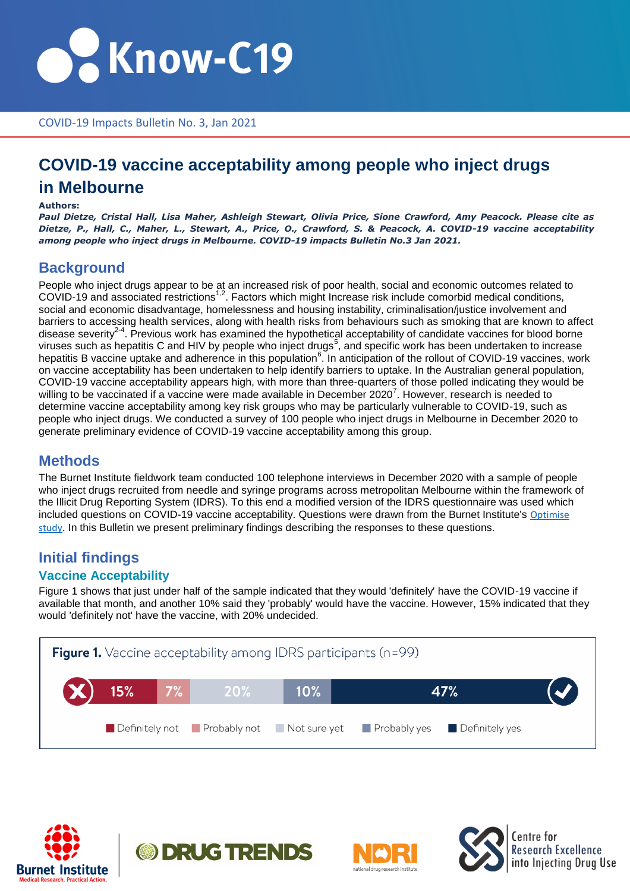

COVID-19 Impacts Bulletin No. 3, Jan 2021

## **COVID-19 vaccine acceptability among people who inject drugs in Melbourne**

#### **Authors:**

*Paul Dietze, Cristal Hall, Lisa Maher, Ashleigh Stewart, Olivia Price, Sione Crawford, Amy Peacock. Please cite as Dietze, P., Hall, C., Maher, L., Stewart, A., Price, O., Crawford, S. & Peacock, A. COVID-19 vaccine acceptability among people who inject drugs in Melbourne. COVID-19 impacts Bulletin No.3 Jan 2021.*

### **Background**

People who inject drugs appear to be at an increased risk of poor health, social and economic outcomes related to COVID-19 and associated restrictions<sup>1,2</sup>. Factors which might Increase risk include comorbid medical conditions, social and economic disadvantage, homelessness and housing instability, criminalisation/justice involvement and barriers to accessing health services, along with health risks from behaviours such as smoking that are known to affect disease severity<sup>2-4</sup>. Previous work has examined the hypothetical acceptability of candidate vaccines for blood borne viruses such as hepatitis C and HIV by people who inject drugs<sup>5</sup>, and specific work has been undertaken to increase hepatitis B vaccine uptake and adherence in this population<sup>6</sup>. In anticipation of the rollout of COVID-19 vaccines, work on vaccine acceptability has been undertaken to help identify barriers to uptake. In the Australian general population, COVID-19 vaccine acceptability appears high, with more than three-quarters of those polled indicating they would be willing to be vaccinated if a vaccine were made available in December 2020<sup>7</sup>. However, research is needed to determine vaccine acceptability among key risk groups who may be particularly vulnerable to COVID-19, such as people who inject drugs. We conducted a survey of 100 people who inject drugs in Melbourne in December 2020 to generate preliminary evidence of COVID-19 vaccine acceptability among this group.

### **Methods**

The Burnet Institute fieldwork team conducted 100 telephone interviews in December 2020 with a sample of people who inject drugs recruited from needle and syringe programs across metropolitan Melbourne within the framework of the Illicit Drug Reporting System (IDRS). To this end a modified version of the IDRS questionnaire was used which included questions on COVID-19 vaccine acceptability. Questions were drawn from the Burnet Institute's Optimise [study](https://www.burnet.edu.au/projects/459_the_optimise_study_optimising_isolation_quarantine_and_distancing_for_covid_19). In this Bulletin we present preliminary findings describing the responses to these questions.

## **Initial findings**

#### **Vaccine Acceptability**

Figure 1 shows that just under half of the sample indicated that they would 'definitely' have the COVID-19 vaccine if available that month, and another 10% said they 'probably' would have the vaccine. However, 15% indicated that they would 'definitely not' have the vaccine, with 20% undecided.









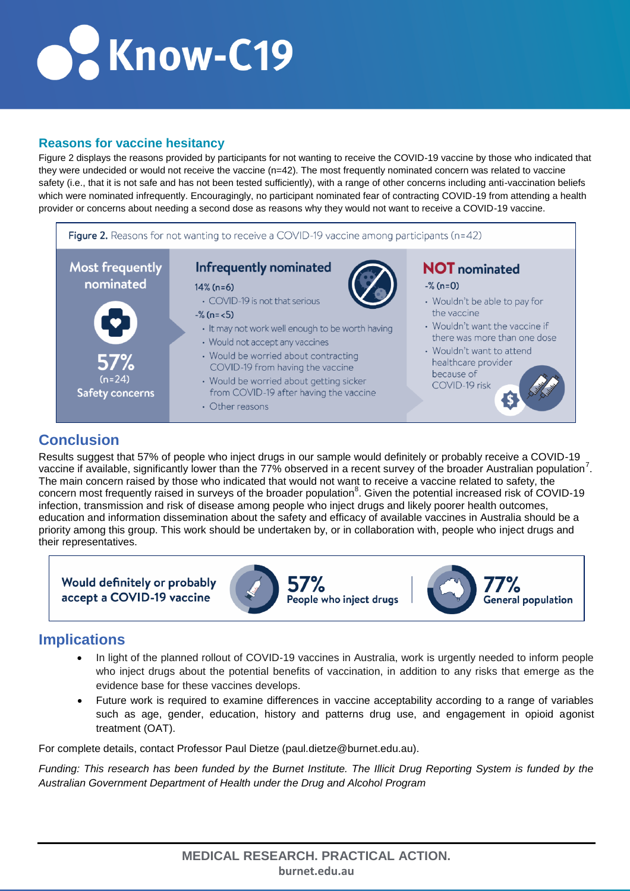# Colknow-C19

### **Reasons for vaccine hesitancy**

Figure 2 displays the reasons provided by participants for not wanting to receive the COVID-19 vaccine by those who indicated that they were undecided or would not receive the vaccine (n=42). The most frequently nominated concern was related to vaccine safety (i.e., that it is not safe and has not been tested sufficiently), with a range of other concerns including anti-vaccination beliefs which were nominated infrequently. Encouragingly, no participant nominated fear of contracting COVID-19 from attending a health provider or concerns about needing a second dose as reasons why they would not want to receive a COVID-19 vaccine.



### **Conclusion**

Results suggest that 57% of people who inject drugs in our sample would definitely or probably receive a COVID-19 vaccine if available, significantly lower than the 77% observed in a recent survey of the broader Australian population<sup>7</sup>. The main concern raised by those who indicated that would not want to receive a vaccine related to safety, the concern most frequently raised in surveys of the broader population<sup>8</sup>. Given the potential increased risk of COVID-19 infection, transmission and risk of disease among people who inject drugs and likely poorer health outcomes, education and information dissemination about the safety and efficacy of available vaccines in Australia should be a priority among this group. This work should be undertaken by, or in collaboration with, people who inject drugs and their representatives.

Would definitely or probably accept a COVID-19 vaccine



**57%** People who inject drugs



### **Implications**

- In light of the planned rollout of COVID-19 vaccines in Australia, work is urgently needed to inform people who inject drugs about the potential benefits of vaccination, in addition to any risks that emerge as the evidence base for these vaccines develops.
- Future work is required to examine differences in vaccine acceptability according to a range of variables such as age, gender, education, history and patterns drug use, and engagement in opioid agonist treatment (OAT).

For complete details, contact Professor Paul Dietze (paul.dietze@burnet.edu.au).

*Funding: This research has been funded by the Burnet Institute. The Illicit Drug Reporting System is funded by the Australian Government Department of Health under the Drug and Alcohol Program*